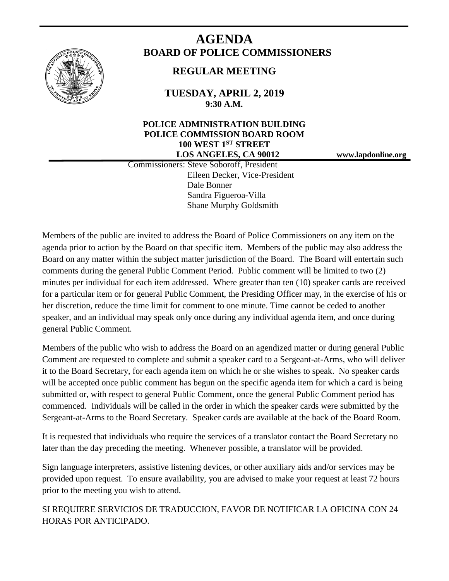

# **AGENDA BOARD OF POLICE COMMISSIONERS**

# **REGULAR MEETING**

**TUESDAY, APRIL 2, 2019 9:30 A.M.**

## **POLICE ADMINISTRATION BUILDING POLICE COMMISSION BOARD ROOM 100 WEST 1ST STREET LOS ANGELES, CA 90012 www.lapdonline.org**

 Commissioners: Steve Soboroff, President Eileen Decker, Vice-President Dale Bonner Sandra Figueroa-Villa Shane Murphy Goldsmith

Members of the public are invited to address the Board of Police Commissioners on any item on the agenda prior to action by the Board on that specific item. Members of the public may also address the Board on any matter within the subject matter jurisdiction of the Board. The Board will entertain such comments during the general Public Comment Period. Public comment will be limited to two (2) minutes per individual for each item addressed. Where greater than ten (10) speaker cards are received for a particular item or for general Public Comment, the Presiding Officer may, in the exercise of his or her discretion, reduce the time limit for comment to one minute. Time cannot be ceded to another speaker, and an individual may speak only once during any individual agenda item, and once during general Public Comment.

Members of the public who wish to address the Board on an agendized matter or during general Public Comment are requested to complete and submit a speaker card to a Sergeant-at-Arms, who will deliver it to the Board Secretary, for each agenda item on which he or she wishes to speak. No speaker cards will be accepted once public comment has begun on the specific agenda item for which a card is being submitted or, with respect to general Public Comment, once the general Public Comment period has commenced. Individuals will be called in the order in which the speaker cards were submitted by the Sergeant-at-Arms to the Board Secretary. Speaker cards are available at the back of the Board Room.

It is requested that individuals who require the services of a translator contact the Board Secretary no later than the day preceding the meeting. Whenever possible, a translator will be provided.

Sign language interpreters, assistive listening devices, or other auxiliary aids and/or services may be provided upon request. To ensure availability, you are advised to make your request at least 72 hours prior to the meeting you wish to attend.

SI REQUIERE SERVICIOS DE TRADUCCION, FAVOR DE NOTIFICAR LA OFICINA CON 24 HORAS POR ANTICIPADO.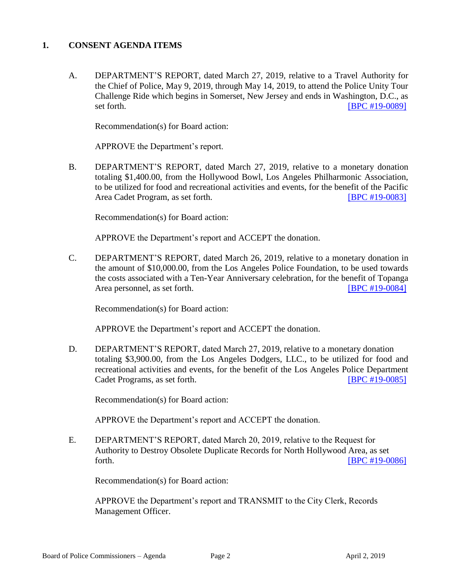#### **1. CONSENT AGENDA ITEMS**

A. DEPARTMENT'S REPORT, dated March 27, 2019, relative to a Travel Authority for the Chief of Police, May 9, 2019, through May 14, 2019, to attend the Police Unity Tour Challenge Ride which begins in Somerset, New Jersey and ends in Washington, D.C., as set forth. **IBPC #19-00891** 

Recommendation(s) for Board action:

APPROVE the Department's report.

B. DEPARTMENT'S REPORT, dated March 27, 2019, relative to a monetary donation totaling \$1,400.00, from the Hollywood Bowl, Los Angeles Philharmonic Association, to be utilized for food and recreational activities and events, for the benefit of the Pacific Area Cadet Program, as set forth. [\[BPC #19-0083\]](http://www.lapdpolicecom.lacity.org/040219/BPC_19-0083.pdf)

Recommendation(s) for Board action:

APPROVE the Department's report and ACCEPT the donation.

C. DEPARTMENT'S REPORT, dated March 26, 2019, relative to a monetary donation in the amount of \$10,000.00, from the Los Angeles Police Foundation, to be used towards the costs associated with a Ten-Year Anniversary celebration, for the benefit of Topanga Area personnel, as set forth. **[\[BPC #19-0084\]](http://www.lapdpolicecom.lacity.org/040219/BPC_19-0084.pdf)** 

Recommendation(s) for Board action:

APPROVE the Department's report and ACCEPT the donation.

D. DEPARTMENT'S REPORT, dated March 27, 2019, relative to a monetary donation totaling \$3,900.00, from the Los Angeles Dodgers, LLC., to be utilized for food and recreational activities and events, for the benefit of the Los Angeles Police Department Cadet Programs, as set forth. **[\[BPC #19-0085\]](http://www.lapdpolicecom.lacity.org/040219/BPC_19-0085.pdf)** 

Recommendation(s) for Board action:

APPROVE the Department's report and ACCEPT the donation.

E. DEPARTMENT'S REPORT, dated March 20, 2019, relative to the Request for Authority to Destroy Obsolete Duplicate Records for North Hollywood Area, as set forth. **IBPC #19-0086** 

Recommendation(s) for Board action:

APPROVE the Department's report and TRANSMIT to the City Clerk, Records Management Officer.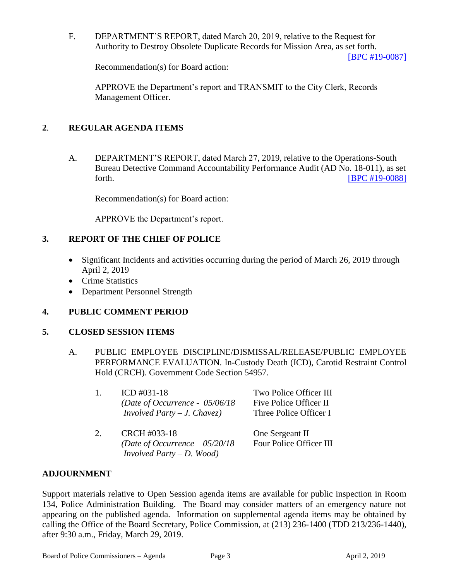F. DEPARTMENT'S REPORT, dated March 20, 2019, relative to the Request for Authority to Destroy Obsolete Duplicate Records for Mission Area, as set forth.

[\[BPC #19-0087\]](http://www.lapdpolicecom.lacity.org/040219/BPC_19-0087.pdf)

Recommendation(s) for Board action:

APPROVE the Department's report and TRANSMIT to the City Clerk, Records Management Officer.

### **2**. **REGULAR AGENDA ITEMS**

A. DEPARTMENT'S REPORT, dated March 27, 2019, relative to the Operations-South Bureau Detective Command Accountability Performance Audit (AD No. 18-011), as set forth. **EXECUTE: EXECUTE: EXECUTE: EXECUTE: EXECUTE: EXECUTE: EXECUTE: EXECUTE: EXECUTE: EXECUTE: EXECUTE: EXECUTE: EXECUTE: EXECUTE: EXECUTE: EXECUTE: EXECUTE: EXECUTE: EXECUTE: EXECU** 

Recommendation(s) for Board action:

APPROVE the Department's report.

#### **3. REPORT OF THE CHIEF OF POLICE**

- Significant Incidents and activities occurring during the period of March 26, 2019 through April 2, 2019
- Crime Statistics
- Department Personnel Strength

#### **4. PUBLIC COMMENT PERIOD**

#### **5. CLOSED SESSION ITEMS**

A. PUBLIC EMPLOYEE DISCIPLINE/DISMISSAL/RELEASE/PUBLIC EMPLOYEE PERFORMANCE EVALUATION. In-Custody Death (ICD), Carotid Restraint Control Hold (CRCH). Government Code Section 54957.

| 1.          | ICD $\#031-18$<br>(Date of Occurrence - $05/06/18$ )<br><i>Involved Party – J. Chavez)</i> | Two Police Officer III<br>Five Police Officer II<br>Three Police Officer I |
|-------------|--------------------------------------------------------------------------------------------|----------------------------------------------------------------------------|
| $2_{\cdot}$ | CRCH #033-18<br>(Date of Occurrence $-05/20/18$                                            | One Sergeant II<br>Four Police Officer III                                 |

*Involved Party – D. Wood)*

#### **ADJOURNMENT**

Support materials relative to Open Session agenda items are available for public inspection in Room 134, Police Administration Building. The Board may consider matters of an emergency nature not appearing on the published agenda. Information on supplemental agenda items may be obtained by calling the Office of the Board Secretary, Police Commission, at (213) 236-1400 (TDD 213/236-1440), after 9:30 a.m., Friday, March 29, 2019.